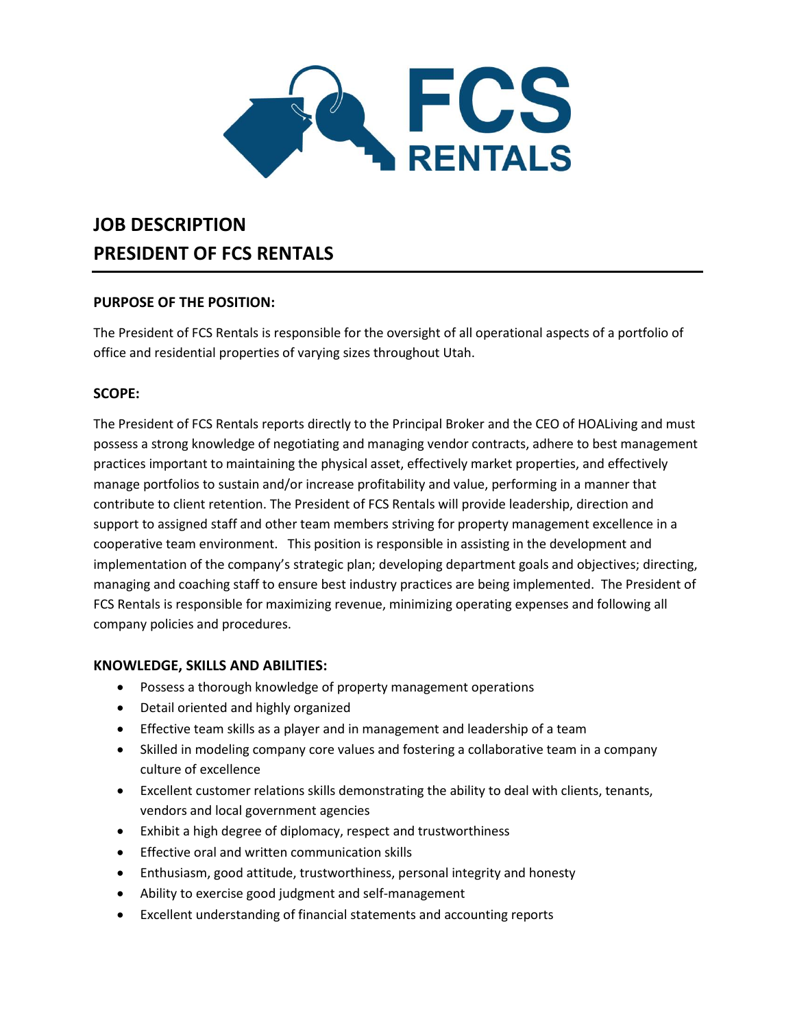

# **JOB DESCRIPTION PRESIDENT OF FCS RENTALS**

## **PURPOSE OF THE POSITION:**

The President of FCS Rentals is responsible for the oversight of all operational aspects of a portfolio of office and residential properties of varying sizes throughout Utah.

## **SCOPE:**

The President of FCS Rentals reports directly to the Principal Broker and the CEO of HOALiving and must possess a strong knowledge of negotiating and managing vendor contracts, adhere to best management practices important to maintaining the physical asset, effectively market properties, and effectively manage portfolios to sustain and/or increase profitability and value, performing in a manner that contribute to client retention. The President of FCS Rentals will provide leadership, direction and support to assigned staff and other team members striving for property management excellence in a cooperative team environment. This position is responsible in assisting in the development and implementation of the company's strategic plan; developing department goals and objectives; directing, managing and coaching staff to ensure best industry practices are being implemented. The President of FCS Rentals is responsible for maximizing revenue, minimizing operating expenses and following all company policies and procedures.

## **KNOWLEDGE, SKILLS AND ABILITIES:**

- Possess a thorough knowledge of property management operations
- Detail oriented and highly organized
- Effective team skills as a player and in management and leadership of a team
- Skilled in modeling company core values and fostering a collaborative team in a company culture of excellence
- Excellent customer relations skills demonstrating the ability to deal with clients, tenants, vendors and local government agencies
- Exhibit a high degree of diplomacy, respect and trustworthiness
- Effective oral and written communication skills
- Enthusiasm, good attitude, trustworthiness, personal integrity and honesty
- Ability to exercise good judgment and self-management
- Excellent understanding of financial statements and accounting reports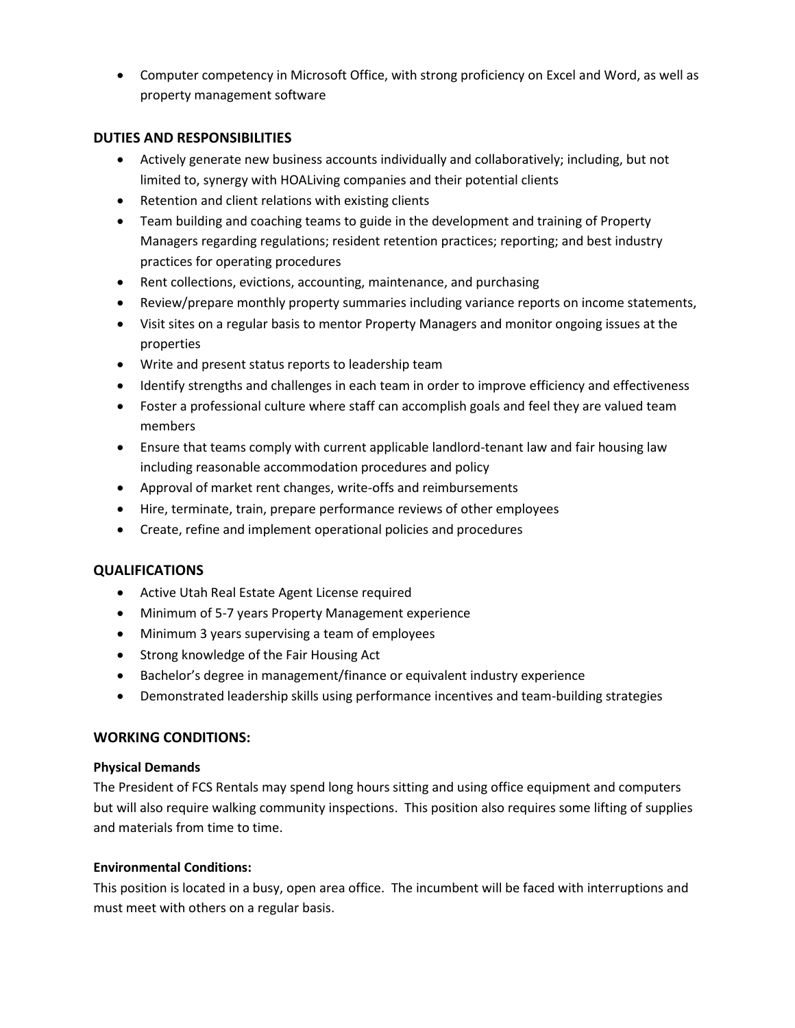• Computer competency in Microsoft Office, with strong proficiency on Excel and Word, as well as property management software

#### **DUTIES AND RESPONSIBILITIES**

- Actively generate new business accounts individually and collaboratively; including, but not limited to, synergy with HOALiving companies and their potential clients
- Retention and client relations with existing clients
- Team building and coaching teams to guide in the development and training of Property Managers regarding regulations; resident retention practices; reporting; and best industry practices for operating procedures
- Rent collections, evictions, accounting, maintenance, and purchasing
- Review/prepare monthly property summaries including variance reports on income statements,
- Visit sites on a regular basis to mentor Property Managers and monitor ongoing issues at the properties
- Write and present status reports to leadership team
- Identify strengths and challenges in each team in order to improve efficiency and effectiveness
- Foster a professional culture where staff can accomplish goals and feel they are valued team members
- Ensure that teams comply with current applicable landlord-tenant law and fair housing law including reasonable accommodation procedures and policy
- Approval of market rent changes, write-offs and reimbursements
- Hire, terminate, train, prepare performance reviews of other employees
- Create, refine and implement operational policies and procedures

## **QUALIFICATIONS**

- Active Utah Real Estate Agent License required
- Minimum of 5-7 years Property Management experience
- Minimum 3 years supervising a team of employees
- Strong knowledge of the Fair Housing Act
- Bachelor's degree in management/finance or equivalent industry experience
- Demonstrated leadership skills using performance incentives and team-building strategies

#### **WORKING CONDITIONS:**

#### **Physical Demands**

The President of FCS Rentals may spend long hours sitting and using office equipment and computers but will also require walking community inspections. This position also requires some lifting of supplies and materials from time to time.

#### **Environmental Conditions:**

This position is located in a busy, open area office. The incumbent will be faced with interruptions and must meet with others on a regular basis.